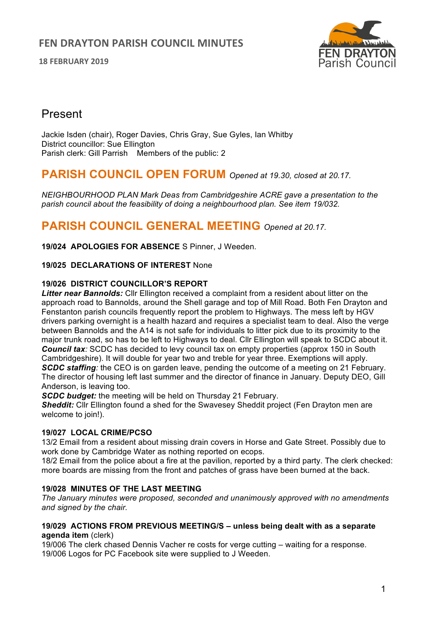**18 FEBRUARY 2019**



# Present

Jackie Isden (chair), Roger Davies, Chris Gray, Sue Gyles, Ian Whitby District councillor: Sue Ellington Parish clerk: Gill Parrish Members of the public: 2

# **PARISH COUNCIL OPEN FORUM** *Opened at 19.30, closed at 20.17.*

*NEIGHBOURHOOD PLAN Mark Deas from Cambridgeshire ACRE gave a presentation to the parish council about the feasibility of doing a neighbourhood plan. See item 19/032.*

# **PARISH COUNCIL GENERAL MEETING** *Opened at 20.17.*

**19/024 APOLOGIES FOR ABSENCE** S Pinner, J Weeden.

## **19/025 DECLARATIONS OF INTEREST** None

## **19/026 DISTRICT COUNCILLOR'S REPORT**

*Litter near Bannolds:* Cllr Ellington received a complaint from a resident about litter on the approach road to Bannolds, around the Shell garage and top of Mill Road. Both Fen Drayton and Fenstanton parish councils frequently report the problem to Highways. The mess left by HGV drivers parking overnight is a health hazard and requires a specialist team to deal. Also the verge between Bannolds and the A14 is not safe for individuals to litter pick due to its proximity to the major trunk road, so has to be left to Highways to deal. Cllr Ellington will speak to SCDC about it. *Council tax:* SCDC has decided to levy council tax on empty properties (approx 150 in South Cambridgeshire). It will double for year two and treble for year three. Exemptions will apply. *SCDC staffing:* the CEO is on garden leave, pending the outcome of a meeting on 21 February. The director of housing left last summer and the director of finance in January. Deputy DEO, Gill Anderson, is leaving too.

**SCDC budget:** the meeting will be held on Thursday 21 February.

**Sheddit:** Cllr Ellington found a shed for the Swavesey Sheddit project (Fen Drayton men are welcome to join!).

## **19/027 LOCAL CRIME/PCSO**

13/2 Email from a resident about missing drain covers in Horse and Gate Street. Possibly due to work done by Cambridge Water as nothing reported on ecops.

18/2 Email from the police about a fire at the pavilion, reported by a third party. The clerk checked: more boards are missing from the front and patches of grass have been burned at the back.

## **19/028 MINUTES OF THE LAST MEETING**

*The January minutes were proposed, seconded and unanimously approved with no amendments and signed by the chair.*

#### **19/029 ACTIONS FROM PREVIOUS MEETING/S – unless being dealt with as a separate agenda item** (clerk)

19/006 The clerk chased Dennis Vacher re costs for verge cutting – waiting for a response. 19/006 Logos for PC Facebook site were supplied to J Weeden.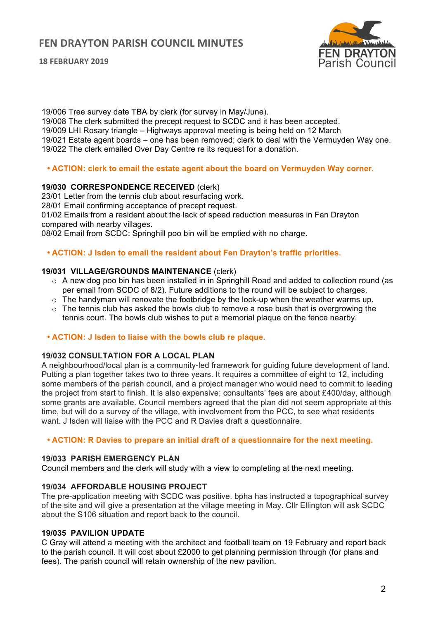# **FEN DRAYTON PARISH COUNCIL MINUTES**

**18 FEBRUARY 2019**



19/006 Tree survey date TBA by clerk (for survey in May/June). 19/008 The clerk submitted the precept request to SCDC and it has been accepted. 19/009 LHI Rosary triangle – Highways approval meeting is being held on 12 March 19/021 Estate agent boards – one has been removed; clerk to deal with the Vermuyden Way one. 19/022 The clerk emailed Over Day Centre re its request for a donation.

#### • **ACTION: clerk to email the estate agent about the board on Vermuyden Way corner.**

#### **19/030 CORRESPONDENCE RECEIVED** (clerk)

23/01 Letter from the tennis club about resurfacing work.

28/01 Email confirming acceptance of precept request.

01/02 Emails from a resident about the lack of speed reduction measures in Fen Drayton compared with nearby villages.

08/02 Email from SCDC: Springhill poo bin will be emptied with no charge.

#### • **ACTION: J Isden to email the resident about Fen Drayton's traffic priorities.**

#### **19/031 VILLAGE/GROUNDS MAINTENANCE** (clerk)

- o A new dog poo bin has been installed in in Springhill Road and added to collection round (as per email from SCDC of 8/2). Future additions to the round will be subject to charges.
- $\circ$  The handyman will renovate the footbridge by the lock-up when the weather warms up.
- $\circ$  The tennis club has asked the bowls club to remove a rose bush that is overgrowing the tennis court. The bowls club wishes to put a memorial plaque on the fence nearby.

#### • **ACTION: J Isden to liaise with the bowls club re plaque.**

## **19/032 CONSULTATION FOR A LOCAL PLAN**

A neighbourhood/local plan is a community-led framework for guiding future development of land. Putting a plan together takes two to three years. It requires a committee of eight to 12, including some members of the parish council, and a project manager who would need to commit to leading the project from start to finish. It is also expensive; consultants' fees are about £400/day, although some grants are available. Council members agreed that the plan did not seem appropriate at this time, but will do a survey of the village, with involvement from the PCC, to see what residents want. J Isden will liaise with the PCC and R Davies draft a questionnaire.

#### • **ACTION: R Davies to prepare an initial draft of a questionnaire for the next meeting.**

#### **19/033 PARISH EMERGENCY PLAN**

Council members and the clerk will study with a view to completing at the next meeting.

## **19/034 AFFORDABLE HOUSING PROJECT**

The pre-application meeting with SCDC was positive. bpha has instructed a topographical survey of the site and will give a presentation at the village meeting in May. Cllr Ellington will ask SCDC about the S106 situation and report back to the council.

#### **19/035 PAVILION UPDATE**

C Gray will attend a meeting with the architect and football team on 19 February and report back to the parish council. It will cost about £2000 to get planning permission through (for plans and fees). The parish council will retain ownership of the new pavilion.